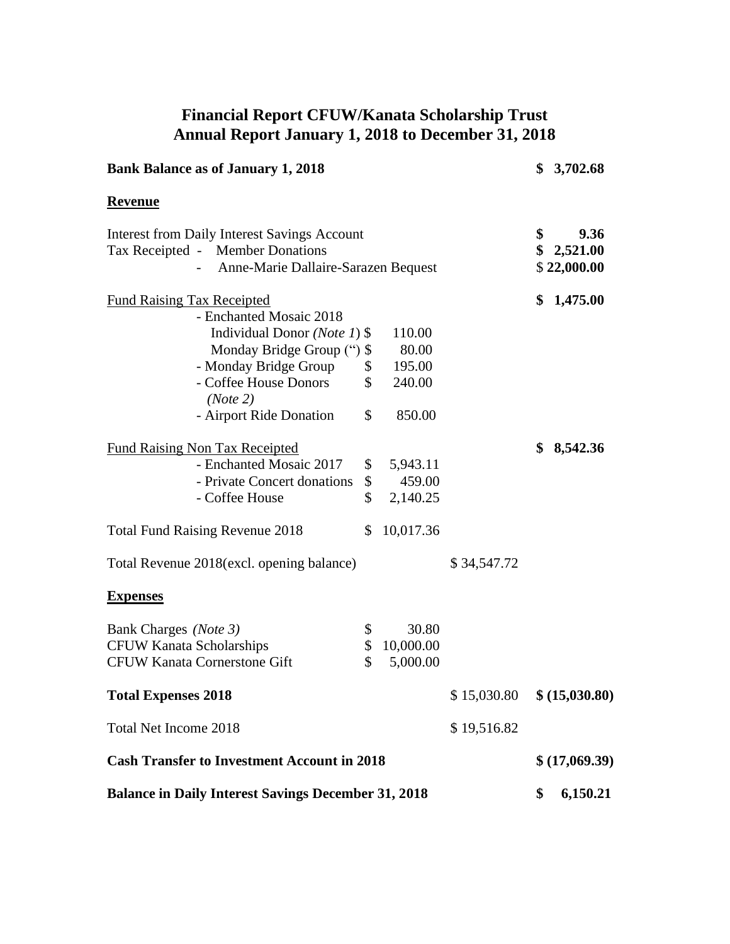## **Financial Report CFUW/Kanata Scholarship Trust Annual Report January 1, 2018 to December 31, 2018**

| <b>Bank Balance as of January 1, 2018</b>                                                                                             |                         |             |          | \$3,702.68                      |
|---------------------------------------------------------------------------------------------------------------------------------------|-------------------------|-------------|----------|---------------------------------|
| <b>Revenue</b>                                                                                                                        |                         |             |          |                                 |
| <b>Interest from Daily Interest Savings Account</b><br>Tax Receipted - Member Donations<br>Anne-Marie Dallaire-Sarazen Bequest<br>$-$ |                         |             | \$<br>\$ | 9.36<br>2,521.00<br>\$22,000.00 |
| <b>Fund Raising Tax Receipted</b>                                                                                                     |                         |             | \$       | 1,475.00                        |
| - Enchanted Mosaic 2018                                                                                                               |                         |             |          |                                 |
| Individual Donor ( <i>Note 1</i> ) $\$                                                                                                | 110.00                  |             |          |                                 |
| Monday Bridge Group (") \$                                                                                                            | 80.00                   |             |          |                                 |
| - Monday Bridge Group                                                                                                                 | $\mathcal{S}$<br>195.00 |             |          |                                 |
| \$<br>- Coffee House Donors                                                                                                           | 240.00                  |             |          |                                 |
| (Note 2)<br>\$<br>- Airport Ride Donation                                                                                             | 850.00                  |             |          |                                 |
| <b>Fund Raising Non Tax Receipted</b>                                                                                                 |                         |             | \$       | 8,542.36                        |
| - Enchanted Mosaic 2017                                                                                                               | \$5,943.11              |             |          |                                 |
| - Private Concert donations                                                                                                           | $\mathcal{S}$<br>459.00 |             |          |                                 |
| \$<br>- Coffee House                                                                                                                  | 2,140.25                |             |          |                                 |
| <b>Total Fund Raising Revenue 2018</b><br>\$                                                                                          | 10,017.36               |             |          |                                 |
| Total Revenue 2018 (excl. opening balance)                                                                                            |                         | \$34,547.72 |          |                                 |
| <b>Expenses</b>                                                                                                                       |                         |             |          |                                 |
| \$<br>Bank Charges (Note 3)                                                                                                           | 30.80                   |             |          |                                 |
| <b>CFUW Kanata Scholarships</b>                                                                                                       | \$10,000.00             |             |          |                                 |
| \$<br><b>CFUW Kanata Cornerstone Gift</b>                                                                                             | 5,000.00                |             |          |                                 |
| <b>Total Expenses 2018</b>                                                                                                            |                         | \$15,030.80 |          | \$ (15,030.80)                  |
| <b>Total Net Income 2018</b>                                                                                                          |                         | \$19,516.82 |          |                                 |
| <b>Cash Transfer to Investment Account in 2018</b>                                                                                    |                         |             |          | \$(17,069.39)                   |
| <b>Balance in Daily Interest Savings December 31, 2018</b>                                                                            |                         |             |          | 6,150.21                        |